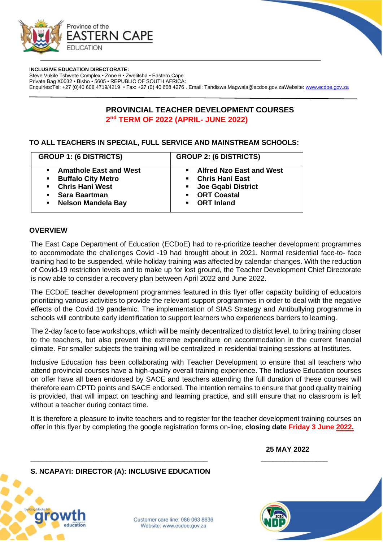

**INCLUSIVE EDUCATION DIRECTORATE:**

Steve Vukile Tshwete Complex • Zone 6 • Zwelitsha • Eastern Cape Private Bag X0032 • Bisho • 5605 • REPUBLIC OF SOUTH AFRICA: Enquiries:Tel: +27 (0)40 608 4719/4219 • Fax: +27 (0) 40 608 4276 . Email: Tandiswa.Magwala@ecdoe.gov.zaWebsite: [www.ecdoe.gov.za](http://www.ecdoe.gov.za/) 



### **TO ALL TEACHERS IN SPECIAL, FULL SERVICE AND MAINSTREAM SCHOOLS:**

| <b>GROUP 1: (6 DISTRICTS)</b>                                                                                                                             | <b>GROUP 2: (6 DISTRICTS)</b>                                                                                                   |  |
|-----------------------------------------------------------------------------------------------------------------------------------------------------------|---------------------------------------------------------------------------------------------------------------------------------|--|
| <b>Amathole East and West</b><br><b>Buffalo City Metro</b><br>$\blacksquare$<br><b>Chris Hani West</b><br>Sara Baartman<br><b>Nelson Mandela Bay</b><br>٠ | • Alfred Nzo East and West<br>• Chris Hani East<br>• Joe Gqabi District<br>• ORT Coastal<br><b>ORT</b> Inland<br>$\blacksquare$ |  |

### **OVERVIEW**

The East Cape Department of Education (ECDoE) had to re-prioritize teacher development programmes to accommodate the challenges Covid -19 had brought about in 2021. Normal residential face-to- face training had to be suspended, while holiday training was affected by calendar changes. With the reduction of Covid-19 restriction levels and to make up for lost ground, the Teacher Development Chief Directorate is now able to consider a recovery plan between April 2022 and June 2022.

The ECDoE teacher development programmes featured in this flyer offer capacity building of educators prioritizing various activities to provide the relevant support programmes in order to deal with the negative effects of the Covid 19 pandemic. The implementation of SIAS Strategy and Antibullying programme in schools will contribute early identification to support learners who experiences barriers to learning.

The 2-day face to face workshops, which will be mainly decentralized to district level, to bring training closer to the teachers, but also prevent the extreme expenditure on accommodation in the current financial climate. For smaller subjects the training will be centralized in residential training sessions at Institutes.

Inclusive Education has been collaborating with Teacher Development to ensure that all teachers who attend provincial courses have a high-quality overall training experience. The Inclusive Education courses on offer have all been endorsed by SACE and teachers attending the full duration of these courses will therefore earn CPTD points and SACE endorsed. The intention remains to ensure that good quality training is provided, that will impact on teaching and learning practice, and still ensure that no classroom is left without a teacher during contact time.

It is therefore a pleasure to invite teachers and to register for the teacher development training courses on offer in this flyer by completing the google registration forms on-line, **closing date Friday 3 June 2022.**

 **25 MAY 2022**



Customer care line: 086 063 8636 Website: www.ecdoe.gov.za

**\_\_\_\_\_\_\_\_\_\_\_\_\_\_\_\_\_\_\_\_\_\_\_\_\_\_\_\_\_\_\_\_\_\_\_\_\_\_\_\_\_\_\_\_\_ \_\_\_\_\_\_\_\_\_\_\_\_\_\_\_\_\_** 

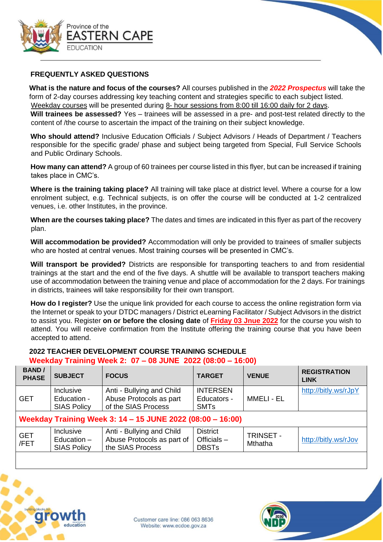

## **FREQUENTLY ASKED QUESTIONS**

**What is the nature and focus of the courses?** All courses published in the *2022 Prospectus* will take the form of 2-day courses addressing key teaching content and strategies specific to each subject listed. Weekday courses will be presented during 8- hour sessions from 8:00 till 16:00 daily for 2 days.

**Will trainees be assessed?** Yes – trainees will be assessed in a pre- and post-test related directly to the content of /the course to ascertain the impact of the training on their subject knowledge.

**Who should attend?** Inclusive Education Officials / Subject Advisors / Heads of Department / Teachers responsible for the specific grade/ phase and subject being targeted from Special, Full Service Schools and Public Ordinary Schools.

**How many can attend?** A group of 60 trainees per course listed in this flyer, but can be increased if training takes place in CMC's.

**Where is the training taking place?** All training will take place at district level. Where a course for a low enrolment subject, e.g. Technical subjects, is on offer the course will be conducted at 1-2 centralized venues, i.e. other Institutes, in the province.

**When are the courses taking place?** The dates and times are indicated in this flyer as part of the recovery plan.

**Will accommodation be provided?** Accommodation will only be provided to trainees of smaller subjects who are hosted at central venues. Most training courses will be presented in CMC's.

**Will transport be provided?** Districts are responsible for transporting teachers to and from residential trainings at the start and the end of the five days. A shuttle will be available to transport teachers making use of accommodation between the training venue and place of accommodation for the 2 days. For trainings in districts, trainees will take responsibility for their own transport.

**How do I register?** Use the unique link provided for each course to access the online registration form via the Internet or speak to your DTDC managers / District eLearning Facilitator / Subject Advisors in the district to assist you. Register **on or before the closing date** of **Friday 03 Jnue 2022** for the course you wish to attend. You will receive confirmation from the Institute offering the training course that you have been accepted to attend.

# **2022 TEACHER DEVELOPMENT COURSE TRAINING SCHEDULE**

## **Weekday Training Week 2: 07 – 08 JUNE 2022 (08:00 – 16:00)**

| <b>SUBJECT</b>                                             | <b>FOCUS</b>                                                                | <b>TARGET</b>                                    | <b>VENUE</b>                       | <b>REGISTRATION</b><br><b>LINK</b> |  |
|------------------------------------------------------------|-----------------------------------------------------------------------------|--------------------------------------------------|------------------------------------|------------------------------------|--|
| <b>Inclusive</b><br>Education -<br><b>SIAS Policy</b>      | Anti - Bullying and Child<br>Abuse Protocols as part<br>of the SIAS Process | <b>INTERSEN</b><br>Educators -<br><b>SMTs</b>    | <b>MMELI - EL</b>                  | http://bitly.ws/rJpY               |  |
| Weekday Training Week 3: 14 - 15 JUNE 2022 (08:00 - 16:00) |                                                                             |                                                  |                                    |                                    |  |
| <b>Inclusive</b><br>Education $-$<br><b>SIAS Policy</b>    | Anti - Bullying and Child<br>Abuse Protocols as part of<br>the SIAS Process | <b>District</b><br>Officials $-$<br><b>DBSTs</b> | <b>TRINSET -</b><br><b>Mthatha</b> | http://bitly.ws/rJov               |  |
|                                                            |                                                                             |                                                  |                                    |                                    |  |